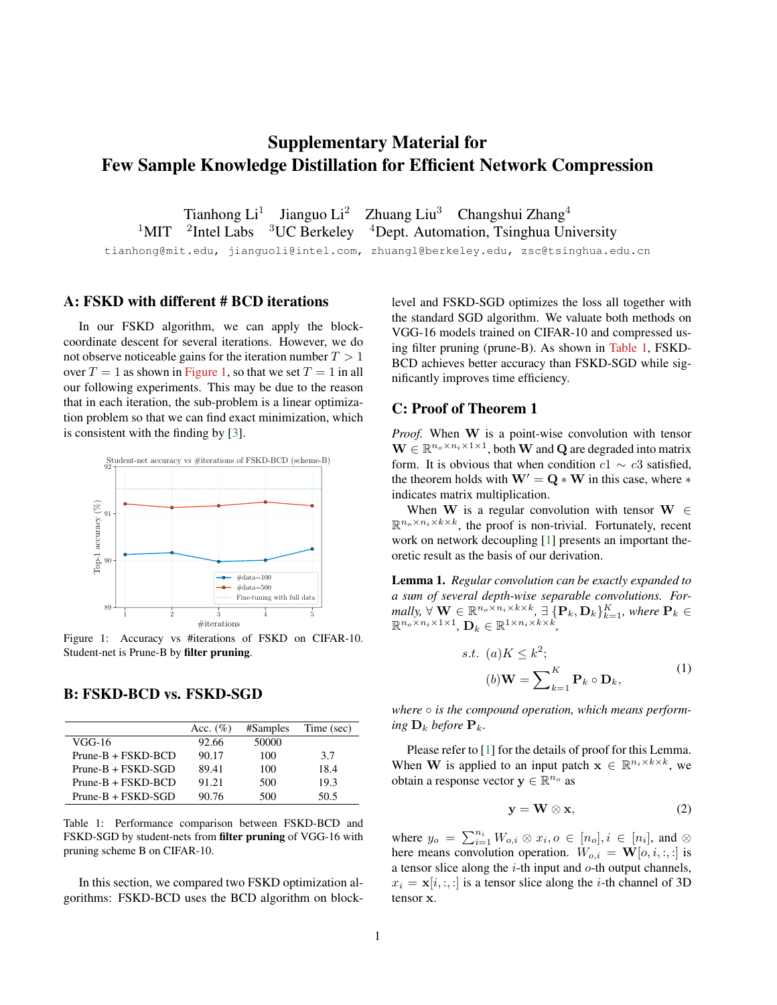# <span id="page-0-4"></span>Supplementary Material for Few Sample Knowledge Distillation for Efficient Network Compression

Tianhong Li<sup>1</sup> Jianguo Li<sup>2</sup> Zhuang Liu<sup>3</sup> Changshui Zhang<sup>4</sup>  $1$ MIT <sup>2</sup>Intel Labs  $3UC$  Berkeley  $4$ Dept. Automation, Tsinghua University

tianhong@mit.edu, jianguoli@intel.com, zhuangl@berkeley.edu, zsc@tsinghua.edu.cn

## A: FSKD with different # BCD iterations

In our FSKD algorithm, we can apply the blockcoordinate descent for several iterations. However, we do not observe noticeable gains for the iteration number  $T > 1$ over  $T = 1$  as shown in [Figure 1,](#page-0-0) so that we set  $T = 1$  in all our following experiments. This may be due to the reason that in each iteration, the sub-problem is a linear optimization problem so that we can find exact minimization, which is consistent with the finding by [\[3\]](#page-2-0).

<span id="page-0-0"></span>

Figure 1: Accuracy vs #iterations of FSKD on CIFAR-10. Student-net is Prune-B by filter pruning.

### B: FSKD-BCD vs. FSKD-SGD

<span id="page-0-1"></span>

|                      | Acc. $(\%)$ | #Samples | Time (sec) |
|----------------------|-------------|----------|------------|
| VGG-16               | 92.66       | 50000    |            |
| $Prune-B + FSKD-BCD$ | 90.17       | 100      | 3.7        |
| $Prune-B + FSKD-SGD$ | 89.41       | 100      | 18.4       |
| $Prune-B + FSKD-BCD$ | 91.21       | 500      | 19.3       |
| $Prune-B + FSKD-SGD$ | 90.76       | 500      | 50.5       |

Table 1: Performance comparison between FSKD-BCD and FSKD-SGD by student-nets from filter pruning of VGG-16 with pruning scheme B on CIFAR-10.

In this section, we compared two FSKD optimization algorithms: FSKD-BCD uses the BCD algorithm on blocklevel and FSKD-SGD optimizes the loss all together with the standard SGD algorithm. We valuate both methods on VGG-16 models trained on CIFAR-10 and compressed using filter pruning (prune-B). As shown in [Table 1,](#page-0-1) FSKD-BCD achieves better accuracy than FSKD-SGD while significantly improves time efficiency.

#### C: Proof of Theorem 1

*Proof.* When W is a point-wise convolution with tensor  $\mathbf{W} \in \mathbb{R}^{n_o \times n_i \times 1 \times 1}$ , both **W** and **Q** are degraded into matrix form. It is obvious that when condition  $c1 \sim c3$  satisfied, the theorem holds with  $W' = Q * W$  in this case, where  $*$ indicates matrix multiplication.

When W is a regular convolution with tensor W  $\in$  $\mathbb{R}^{n_o \times n_i \times k \times k}$ , the proof is non-trivial. Fortunately, recent work on network decoupling [\[1\]](#page-2-1) presents an important theoretic result as the basis of our derivation.

<span id="page-0-2"></span>Lemma 1. *Regular convolution can be exactly expanded to a sum of several depth-wise separable convolutions. For* $m$ ally,  $\forall$   $\mathbf{W} \in \mathbb{R}^{n_o \times n_i \times k \times k}$ ,  $\exists$   $\{\mathbf{P}_k, \mathbf{D}_k\}_{k=1}^K$ , where  $\mathbf{P}_k \in$  $\mathbb{R}^{n_o \times n_i \times 1 \times 1}$ ,  $\mathbf{D}_k \in \mathbb{R}^{1 \times n_i \times k \times k}$ ,

$$
s.t. (a)K \le k^2;
$$
  
\n
$$
(b)W = \sum_{k=1}^{K} P_k \circ D_k,
$$
\n(1)

<span id="page-0-3"></span>*where* ○ *is the compound operation, which means performing*  $\mathbf{D}_k$  *before*  $\mathbf{P}_k$ *.* 

Please refer to [\[1\]](#page-2-1) for the details of proof for this Lemma. When W is applied to an input patch  $\mathbf{x} \in \mathbb{R}^{n_i \times k \times k}$ , we obtain a response vector  $y \in \mathbb{R}^{n_o}$  as

$$
y = W \otimes x, \tag{2}
$$

where  $y_o = \sum_{i=1}^{n_i} W_{o,i} \otimes x_i, o \in [n_o], i \in [n_i]$ , and  $\otimes$ here means convolution operation.  $W_{o,i} = \mathbf{W}[o, i, :, :]$  is a tensor slice along the  $i$ -th input and  $o$ -th output channels,  $x_i = \mathbf{x}[i, :, :]$  is a tensor slice along the *i*-th channel of 3D tensor x.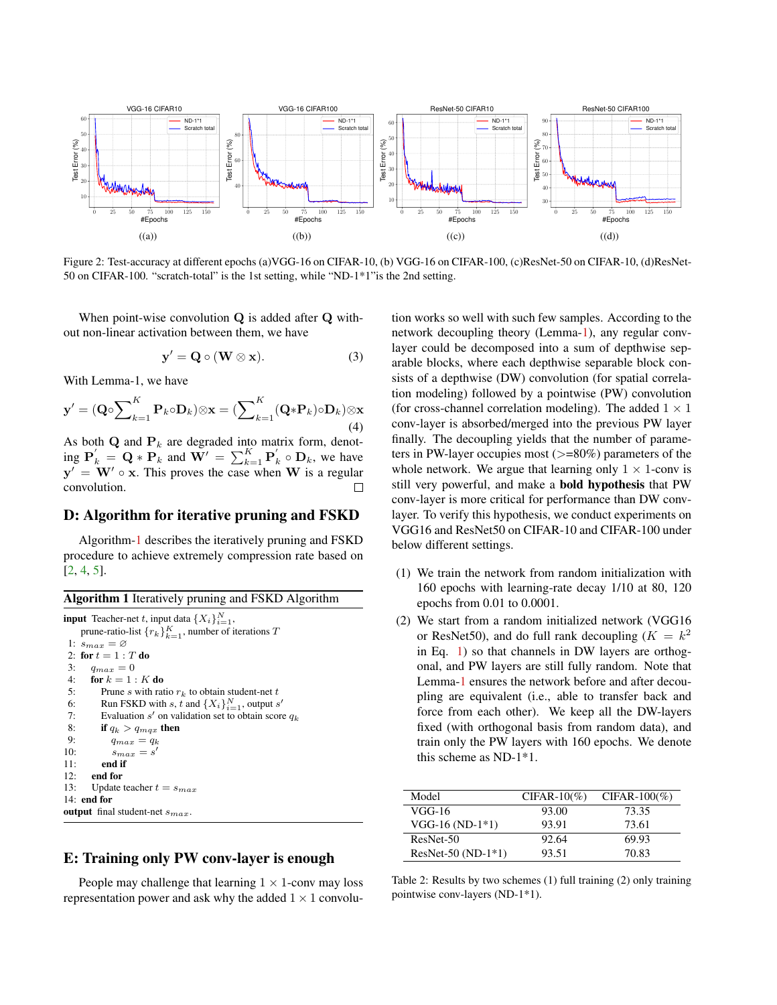<span id="page-1-3"></span><span id="page-1-2"></span>

Figure 2: Test-accuracy at different epochs (a)VGG-16 on CIFAR-10, (b) VGG-16 on CIFAR-100, (c)ResNet-50 on CIFAR-10, (d)ResNet-50 on CIFAR-100. "scratch-total" is the 1st setting, while "ND-1\*1"is the 2nd setting.

When point-wise convolution Q is added after Q without non-linear activation between them, we have

$$
y' = Q \circ (W \otimes x). \tag{3}
$$

With Lemma-1, we have

$$
\mathbf{y}' = (\mathbf{Q} \circ \sum_{k=1}^{K} \mathbf{P}_k \circ \mathbf{D}_k) \otimes \mathbf{x} = (\sum_{k=1}^{K} (\mathbf{Q} * \mathbf{P}_k) \circ \mathbf{D}_k) \otimes \mathbf{x}
$$
\n(4)

As both  $\mathbf Q$  and  $\mathbf P_k$  are degraded into matrix form, denoting  $\mathbf{P}_{k}' = \mathbf{Q} * \mathbf{P}_{k}$  and  $\mathbf{W}' = \sum_{k=1}^{K} \mathbf{P}_{k}' \circ \mathbf{D}_{k}$ , we have  $y' = W' \circ x$ . This proves the case when W is a regular convolution.  $\Box$ 

#### D: Algorithm for iterative pruning and FSKD

Algorithm[-1](#page-1-0) describes the iteratively pruning and FSKD procedure to achieve extremely compression rate based on [\[2,](#page-2-2) [4,](#page-2-3) [5\]](#page-2-4).

<span id="page-1-0"></span>

|  | Algorithm 1 Iteratively pruning and FSKD Algorithm |
|--|----------------------------------------------------|
|  |                                                    |

```
input Teacher-net t, input data \{X_i\}_{i=1}^N,
     prune-ratio-list \{r_k\}_{k=1}^K, number of iterations T
 1: s_{max} = \varnothing2: for t = 1 : T do
 3: q_{max} = 04: for k = 1 : K do
 5: Prune s with ratio r_k to obtain student-net t<br>6: Run FSKD with s, t and \{X_i\}_{i=1}^N, output s
 6: Run FSKD with s, t and \{X_i\}_{i=1}^N, output s'
 7: Evaluation s' on validation set to obtain score q_k8: if q_k > q_{max} then<br>9: q_{max} = q_kq_{max} = q_k10: s_{max} = s'11: end if
12: end for
13: Update teacher t = s_{max}14: end for
output final student-net s_{max}
```
# E: Training only PW conv-layer is enough

People may challenge that learning  $1 \times 1$ -conv may loss representation power and ask why the added  $1 \times 1$  convolution works so well with such few samples. According to the network decoupling theory (Lemma[-1\)](#page-0-2), any regular convlayer could be decomposed into a sum of depthwise separable blocks, where each depthwise separable block consists of a depthwise (DW) convolution (for spatial correlation modeling) followed by a pointwise (PW) convolution (for cross-channel correlation modeling). The added  $1 \times 1$ conv-layer is absorbed/merged into the previous PW layer finally. The decoupling yields that the number of parameters in PW-layer occupies most  $(>=80\%)$  parameters of the whole network. We argue that learning only  $1 \times 1$ -conv is still very powerful, and make a bold hypothesis that PW conv-layer is more critical for performance than DW convlayer. To verify this hypothesis, we conduct experiments on VGG16 and ResNet50 on CIFAR-10 and CIFAR-100 under below different settings.

- (1) We train the network from random initialization with 160 epochs with learning-rate decay 1/10 at 80, 120 epochs from 0.01 to 0.0001.
- (2) We start from a random initialized network (VGG16 or ResNet50), and do full rank decoupling  $(K = k^2)$ in Eq. [1\)](#page-0-3) so that channels in DW layers are orthogonal, and PW layers are still fully random. Note that Lemma[-1](#page-0-2) ensures the network before and after decoupling are equivalent (i.e., able to transfer back and force from each other). We keep all the DW-layers fixed (with orthogonal basis from random data), and train only the PW layers with 160 epochs. We denote this scheme as ND-1\*1.

<span id="page-1-1"></span>

| Model                | $CIFAR-10(\%)$ | $CIFAR-100(\%)$ |
|----------------------|----------------|-----------------|
| VGG-16               | 93.00          | 73.35           |
| $VGG-16 (ND-1*1)$    | 93.91          | 73.61           |
| ResNet-50            | 92.64          | 69.93           |
| $ResNet-50 (ND-1*1)$ | 93.51          | 70.83           |

Table 2: Results by two schemes (1) full training (2) only training pointwise conv-layers (ND-1\*1).